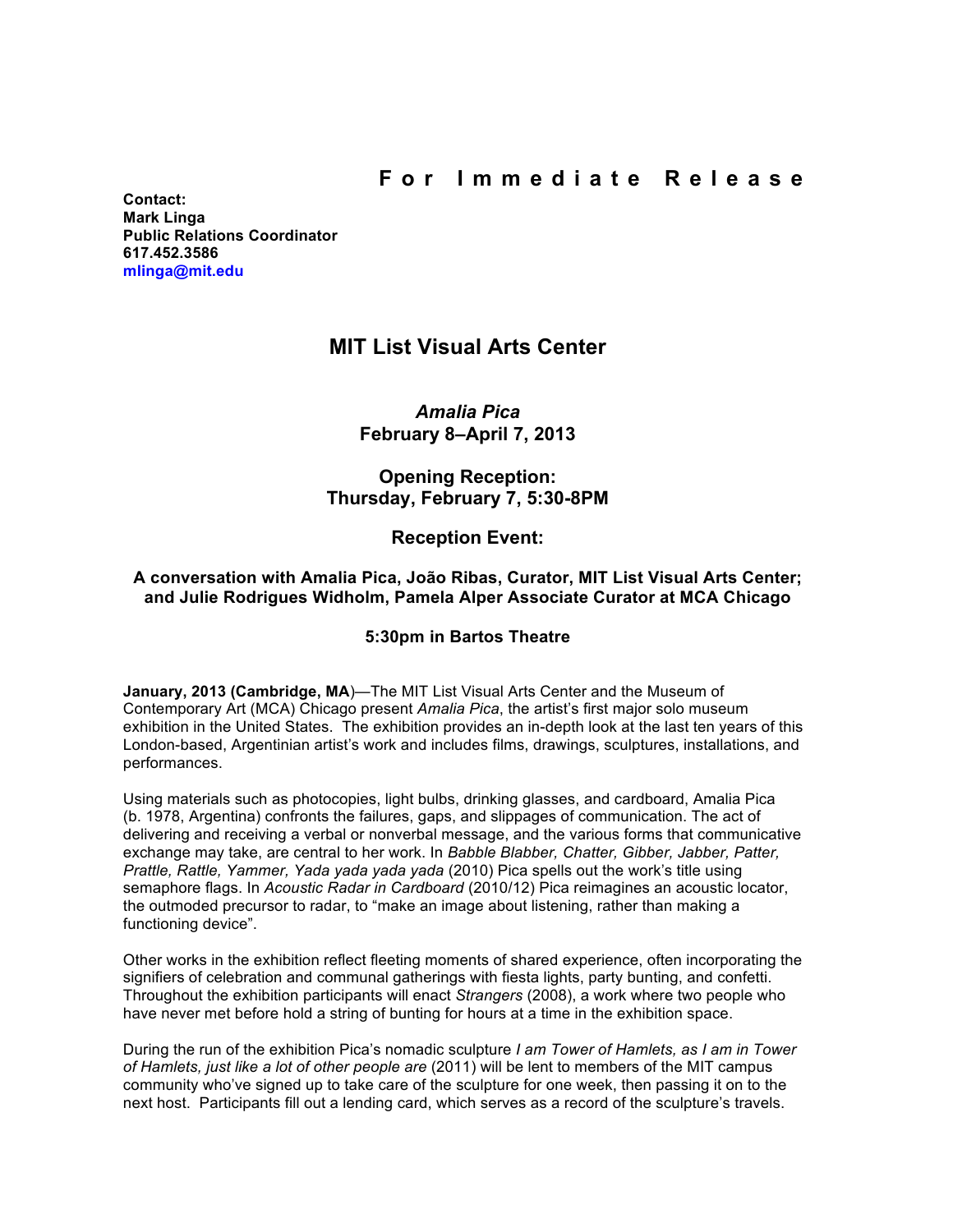**Contact: Mark Linga Public Relations Coordinator [617.452.3586](tel:6174523586) [mlinga@mit.edu](mailto:mlinga@mit.edu)**

# **MIT List Visual Arts Center**

*Amalia Pica* **February 8–April 7, 2013**

## **Opening Reception: Thursday, February 7, 5:30-8PM**

## **Reception Event:**

### **A conversation with Amalia Pica, João Ribas, Curator, MIT List Visual Arts Center; and Julie Rodrigues Widholm, Pamela Alper Associate Curator at MCA Chicago**

### **5:30pm in Bartos Theatre**

**January, 2013 (Cambridge, MA**)—The MIT List Visual Arts Center and the Museum of Contemporary Art (MCA) Chicago present *Amalia Pica*, the artist's first major solo museum exhibition in the United States. The exhibition provides an in-depth look at the last ten years of this London-based, Argentinian artist's work and includes films, drawings, sculptures, installations, and performances.

Using materials such as photocopies, light bulbs, drinking glasses, and cardboard, Amalia Pica (b. 1978, Argentina) confronts the failures, gaps, and slippages of communication. The act of delivering and receiving a verbal or nonverbal message, and the various forms that communicative exchange may take, are central to her work. In *Babble Blabber, Chatter, Gibber, Jabber, Patter, Prattle, Rattle, Yammer, Yada yada yada yada* (2010) Pica spells out the work's title using semaphore flags. In *Acoustic Radar in Cardboard* (2010/12) Pica reimagines an acoustic locator, the outmoded precursor to radar, to "make an image about listening, rather than making a functioning device".

Other works in the exhibition reflect fleeting moments of shared experience, often incorporating the signifiers of celebration and communal gatherings with fiesta lights, party bunting, and confetti. Throughout the exhibition participants will enact *Strangers* (2008), a work where two people who have never met before hold a string of bunting for hours at a time in the exhibition space.

During the run of the exhibition Pica's nomadic sculpture *I am Tower of Hamlets, as I am in Tower of Hamlets, just like a lot of other people are* (2011) will be lent to members of the MIT campus community who've signed up to take care of the sculpture for one week, then passing it on to the next host. Participants fill out a lending card, which serves as a record of the sculpture's travels.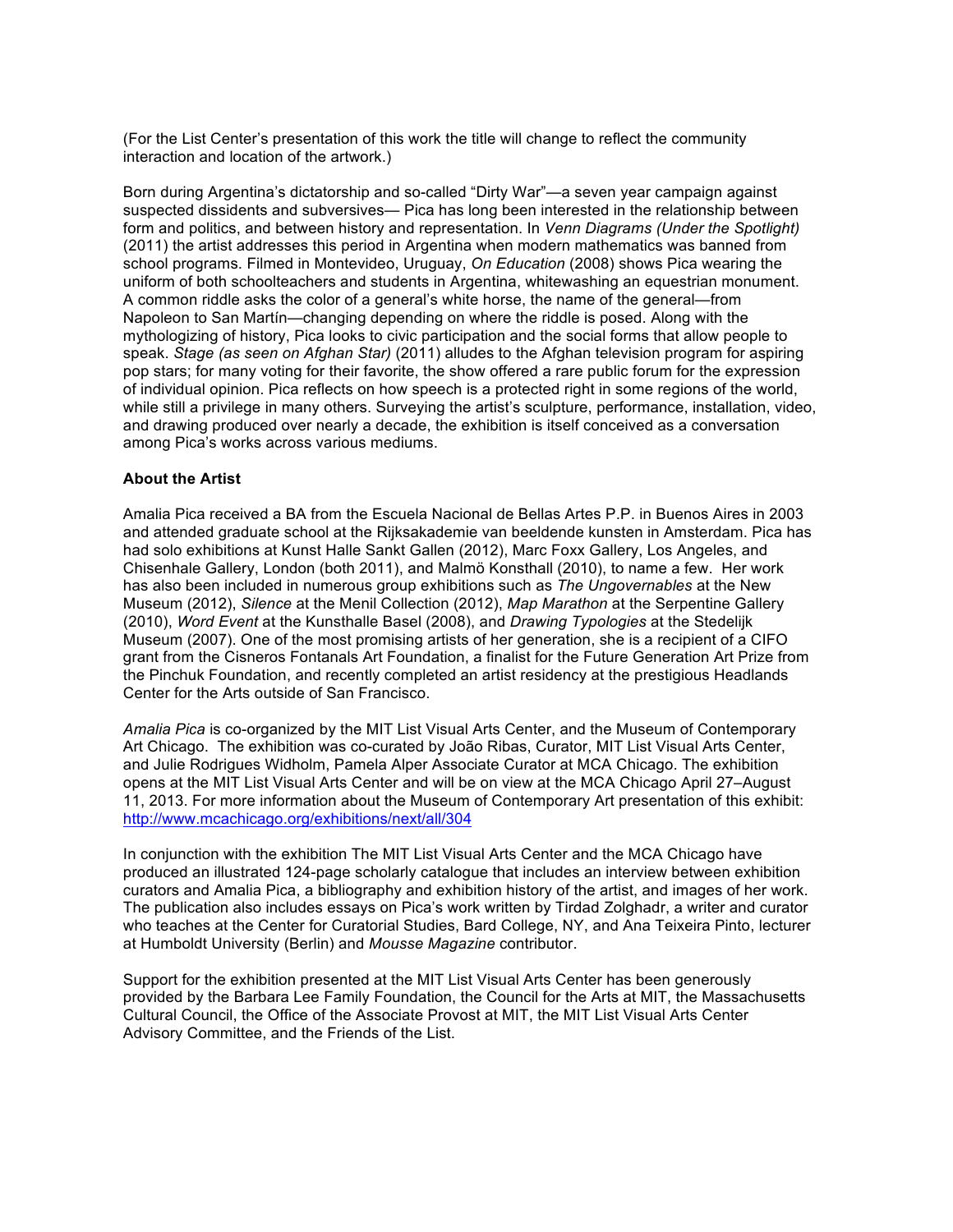(For the List Center's presentation of this work the title will change to reflect the community interaction and location of the artwork.)

Born during Argentina's dictatorship and so-called "Dirty War"—a seven year campaign against suspected dissidents and subversives— Pica has long been interested in the relationship between form and politics, and between history and representation. In *Venn Diagrams (Under the Spotlight)* (2011) the artist addresses this period in Argentina when modern mathematics was banned from school programs. Filmed in Montevideo, Uruguay, *On Education* (2008) shows Pica wearing the uniform of both schoolteachers and students in Argentina, whitewashing an equestrian monument. A common riddle asks the color of a general's white horse, the name of the general—from Napoleon to San Martín—changing depending on where the riddle is posed. Along with the mythologizing of history, Pica looks to civic participation and the social forms that allow people to speak. *Stage (as seen on Afghan Star)* (2011) alludes to the Afghan television program for aspiring pop stars; for many voting for their favorite, the show offered a rare public forum for the expression of individual opinion. Pica reflects on how speech is a protected right in some regions of the world, while still a privilege in many others. Surveying the artist's sculpture, performance, installation, video, and drawing produced over nearly a decade, the exhibition is itself conceived as a conversation among Pica's works across various mediums.

#### **About the Artist**

Amalia Pica received a BA from the Escuela Nacional de Bellas Artes P.P. in Buenos Aires in 2003 and attended graduate school at the Rijksakademie van beeldende kunsten in Amsterdam. Pica has had solo exhibitions at Kunst Halle Sankt Gallen (2012), Marc Foxx Gallery, Los Angeles, and Chisenhale Gallery, London (both 2011), and Malmö Konsthall (2010), to name a few. Her work has also been included in numerous group exhibitions such as *The Ungovernables* at the New Museum (2012), *Silence* at the Menil Collection (2012), *Map Marathon* at the Serpentine Gallery (2010), *Word Event* at the Kunsthalle Basel (2008), and *Drawing Typologies* at the Stedelijk Museum (2007). One of the most promising artists of her generation, she is a recipient of a CIFO grant from the Cisneros Fontanals Art Foundation, a finalist for the Future Generation Art Prize from the Pinchuk Foundation, and recently completed an artist residency at the prestigious Headlands Center for the Arts outside of San Francisco.

*Amalia Pica* is co-organized by the MIT List Visual Arts Center, and the Museum of Contemporary Art Chicago. The exhibition was co-curated by João Ribas, Curator, MIT List Visual Arts Center, and Julie Rodrigues Widholm, Pamela Alper Associate Curator at MCA Chicago. The exhibition opens at the MIT List Visual Arts Center and will be on view at the MCA Chicago April 27–August 11, 2013. For more information about the Museum of Contemporary Art presentation of this exhibit: <http://www.mcachicago.org/exhibitions/next/all/304>

In conjunction with the exhibition The MIT List Visual Arts Center and the MCA Chicago have produced an illustrated 124-page scholarly catalogue that includes an interview between exhibition curators and Amalia Pica, a bibliography and exhibition history of the artist, and images of her work. The publication also includes essays on Pica's work written by Tirdad Zolghadr, a writer and curator who teaches at the Center for Curatorial Studies, Bard College, NY, and Ana Teixeira Pinto, lecturer at Humboldt University (Berlin) and *Mousse Magazine* contributor.

Support for the exhibition presented at the MIT List Visual Arts Center has been generously provided by the Barbara Lee Family Foundation, the Council for the Arts at MIT, the Massachusetts Cultural Council, the Office of the Associate Provost at MIT, the MIT List Visual Arts Center Advisory Committee, and the Friends of the List.